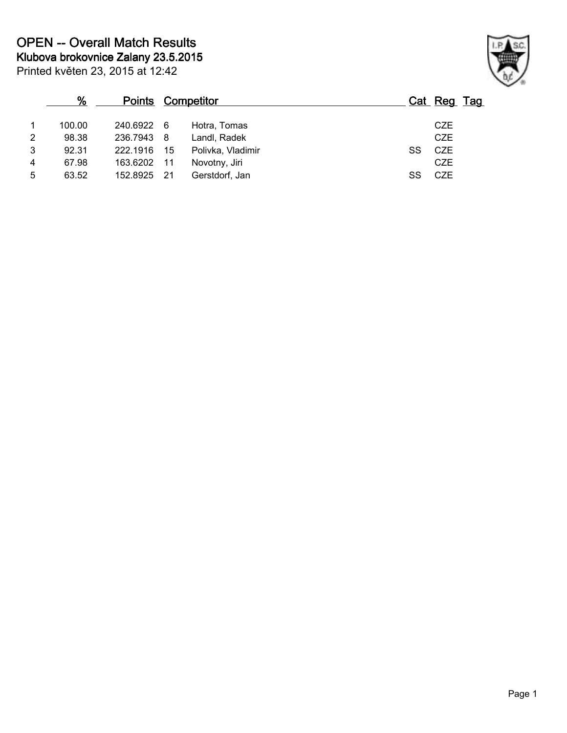| Printed květen 23, 2015 at 12:42 |  |
|----------------------------------|--|
|----------------------------------|--|

|   | %      |            | <b>Points Competitor</b> |                   |    | Cat Reg Tag |  |
|---|--------|------------|--------------------------|-------------------|----|-------------|--|
|   | 100.00 | 240.6922 6 |                          | Hotra, Tomas      |    | <b>CZE</b>  |  |
| 2 | 98.38  | 236.7943   | - 8                      | Landl, Radek      |    | <b>CZE</b>  |  |
| 3 | 92.31  | 222.1916   | 15                       | Polivka, Vladimir | SS | CZE         |  |
| 4 | 67.98  | 163.6202   | 11                       | Novotny, Jiri     |    | <b>CZE</b>  |  |
| 5 | 63.52  | 152.8925   | -21                      | Gerstdorf, Jan    | SS | <b>CZE</b>  |  |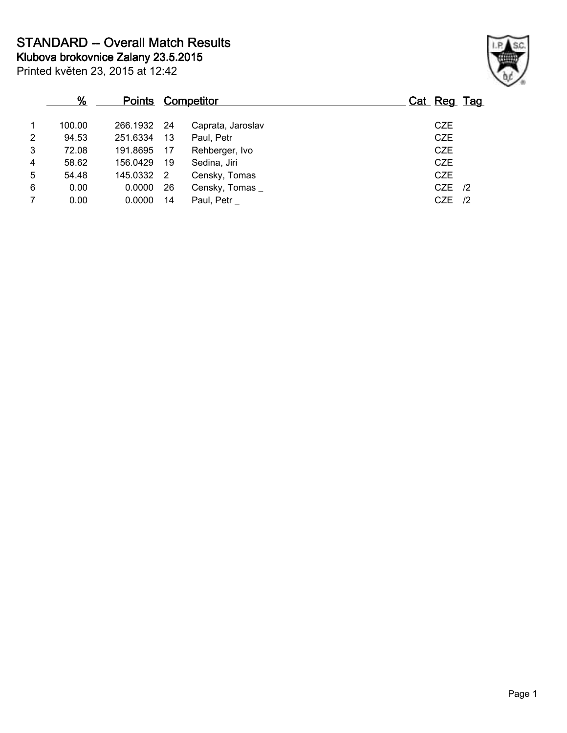**STANDARD -- Overall Match Results**

**Klubova brokovnice Zalany 23.5.2015**

Printed květen 23, 2015 at 12:42

## **% Points Competitor Cat Reg Tag** 1 100.00 266.1932 24 Caprata, Jaroslav CZE 2 94.53 251.6334 13 Paul, Petr CZE 3 72.08 191.8695 17 Rehberger, Ivo CZE 4 58.62 156.0429 19 Sedina, Jiri 2011 19 2012 19 2021 19 2021 19 2021 19 2021 19 2021 19 2021 19 20 20 20 20 20<br>5 54.48 145.0332 2 Censky Tomas 19 2021 19 2021 145.0332 2 Censky, Tomas 6 0.00 0.0000 26 Censky, Tomas \_ CZE /2 7 0.00 0.0000 14 Paul, Petr \_ CZE /2